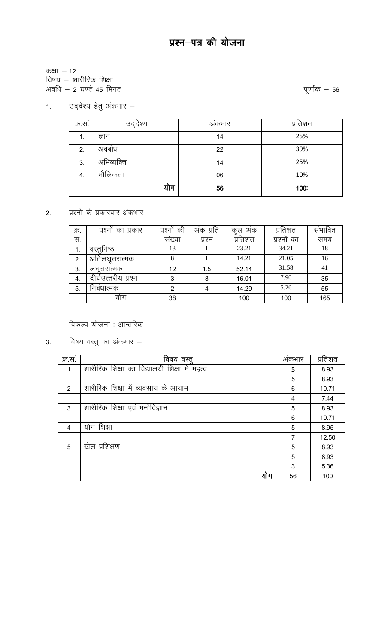कक्षा  $-12$ 

विषय – शारीरिक शिक्षा

अवधि  $-$  2 घण्टे 45 मिनट

## 1. उद्*देश्य हेतु अंकभार* –

| क्र.स. | उद्देश्य   | अंकभार | प्रतिशत |
|--------|------------|--------|---------|
| 1.     | ज्ञान      | 14     | 25%     |
| 2.     | अवबोध      | 22     | 39%     |
| 3.     | अभिव्यक्ति | 14     | 25%     |
| 4.     | मौलिकता    | 06     | 10%     |
|        | योग        | 56     | 100:    |

#### प्रश्नों के प्रकारवार अंकभार –  $2.$

| क्र. | प्रश्नों का प्रकार  | की<br>प्रश्नो | अंक प्रति | कुल अक  | प्रतिशत     | संभावित |
|------|---------------------|---------------|-----------|---------|-------------|---------|
| सं.  |                     | सख्या         | प्रश्न    | प्रतिशत | प्रश्नों का | समय     |
| 1.   | वस्तुनिष्ठ          | 13            |           | 23.21   | 34.21       | 18      |
| 2.   | अतिलघूत्तरात्मक     | 8             |           | 14.21   | 21.05       | 16      |
| 3.   | लघत्तरात्मक         | 12            | 1.5       | 52.14   | 31.58       | 41      |
| 4.   | दीर्घउत्तरीय प्रश्न | 3             | 3         | 16.01   | 7.90        | 35      |
| 5.   | निबंधात्मक          | 2             | 4         | 14.29   | 5.26        | 55      |
|      | याग                 | 38            |           | 100     | 100         | 165     |

विकल्प योजना : आन्तरिक

विषय वस्तु का अंकभार  $3.$ 

| क्र.स.        | विषय वस्तु                                   | अंकभार | प्रतिशत |
|---------------|----------------------------------------------|--------|---------|
|               | शारीरिक शिक्षा का विद्यालयी शिक्षा में महत्व | 5      | 8.93    |
|               |                                              | 5      | 8.93    |
| $\mathcal{P}$ | शारीरिक शिक्षा में व्यवसाय के आयाम           | 6      | 10.71   |
|               |                                              | 4      | 7.44    |
| 3             | शारीरिक शिक्षा एवं मनोविज्ञान                | 5      | 8.93    |
|               |                                              | 6      | 10.71   |
| 4             | योग शिक्षा                                   | 5      | 8.95    |
|               |                                              | 7      | 12.50   |
| 5             | खेल प्रशिक्षण                                | 5      | 8.93    |
|               |                                              | 5      | 8.93    |
|               |                                              | 3      | 5.36    |
|               | योग                                          | 56     | 100     |

पूर्णांक  $-$  56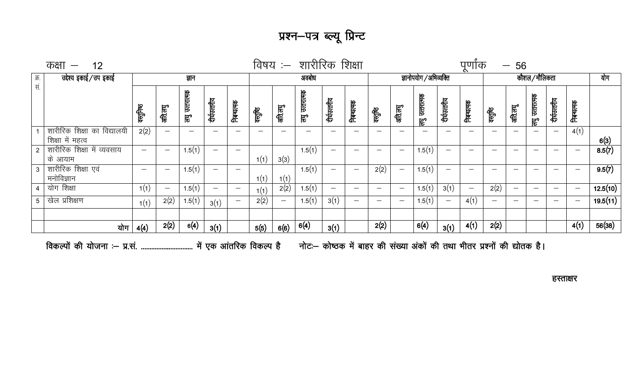# प्रश्न—पत्र ब्ल्यू प्रिन्ट

|               |     |                                                                                                                                              |                          | ज्ञान              |                          |                                |        |         | अवबोध            |                          |                                |                          |                          |                   |              |                          |                          |         |                |                          |                          | योग                    |
|---------------|-----|----------------------------------------------------------------------------------------------------------------------------------------------|--------------------------|--------------------|--------------------------|--------------------------------|--------|---------|------------------|--------------------------|--------------------------------|--------------------------|--------------------------|-------------------|--------------|--------------------------|--------------------------|---------|----------------|--------------------------|--------------------------|------------------------|
|               |     | क्सुनिष्ठ                                                                                                                                    | अति.लघु                  | उत्तरात्मक<br>ट्टु | दीर्घउत्तरीय             | निबन्धत्मक                     | क्तूबि | अति.लघु | उत्तरात्मक<br>हर | दीर्घउत्तरीय             | निबन्धत्मक                     | वस्तुष्ठि                | अति.लघु                  | उत्तरात्मक<br>हुण | दीर्घउत्तरीय | निबन्धत्मक               | ग्सुषि                   | अति.लघू | लघु उत्तरात्मक | दीर्घउत्तरीय             | निबन्धत्मक               |                        |
|               |     | 2(2)                                                                                                                                         |                          |                    |                          | $\overline{\phantom{m}}$       | -      |         |                  |                          | –                              |                          |                          |                   |              |                          |                          |         | —              |                          | 4(1)                     | 6(3)                   |
| के आयाम       |     | $\overline{\phantom{0}}$                                                                                                                     | $\overline{\phantom{m}}$ | 1.5(1)             | —                        |                                |        | 3(3)    | 1.5(1)           | $\overline{\phantom{m}}$ | –                              | –                        | $\overline{\phantom{m}}$ | 1.5(1)            | -            | —                        |                          |         | –              |                          | $\overline{\phantom{m}}$ | 8.5(7)                 |
| मनोविज्ञान    |     | $\overline{\phantom{m}}$                                                                                                                     | $\overline{\phantom{m}}$ | 1.5(1)             | —                        | $\qquad \qquad \longleftarrow$ | 1(1)   |         | 1.5(1)           | $\overline{\phantom{m}}$ | $\qquad \qquad \longleftarrow$ | 2(2)                     | $\qquad \qquad -$        | 1.5(1)            |              | —                        |                          | -       | —              | $\overline{\phantom{0}}$ | $\overline{\phantom{m}}$ | 9.5(7)                 |
| योग शिक्षा    |     | 1(1)                                                                                                                                         |                          | 1.5(1)             | $\overline{\phantom{m}}$ |                                | 1(1)   | 2(2)    | 1.5(1)           | $\overline{\phantom{m}}$ | $\overline{\phantom{m}}$       |                          |                          | 1.5(1)            | 3(1)         | $\overline{\phantom{0}}$ | 2(2)                     |         |                |                          | $\overline{\phantom{0}}$ | 12.5(10)               |
| खेल प्रशिक्षण |     | 1(1)                                                                                                                                         | 2(2)                     | 1.5(1)             | 3(1)                     |                                | 2(2)   |         | 1.5(1)           | 3(1)                     | $\qquad \qquad \longleftarrow$ | $\overline{\phantom{m}}$ |                          | 1.5(1)            |              | 4(1)                     | $\overline{\phantom{0}}$ |         |                |                          | $\overline{\phantom{m}}$ | 19.5(11)               |
|               | योग | 4(4)                                                                                                                                         | 2(2)                     | 6(4)               | 3(1)                     |                                | 5(5)   | 6(6)    | 6(4)             | 3(1)                     |                                | 2(2)                     |                          | 6(4)              | 3(1)         | 4(1)                     | 2(2)                     |         |                |                          | 4(1)                     | 56(38)                 |
|               |     | कक्षा $-$ 12<br>उद्देश्य इकाई/उप इकाई<br>शारीरिक शिक्षा का विद्यालयी<br>शिक्षा में महत्व<br>शारीरिक शिक्षा में व्यवसाय<br>शारीरिक शिक्षा एवं |                          |                    |                          |                                |        | 1(1)    | 1(1)             |                          |                                |                          |                          |                   |              | ज्ञानोपयोग / अभिव्यक्ति  |                          | पुणोक   |                | $-56$                    | कौशल / मौलिकता           | विषय :- शारीरिक शिक्षा |

हस्ताक्षर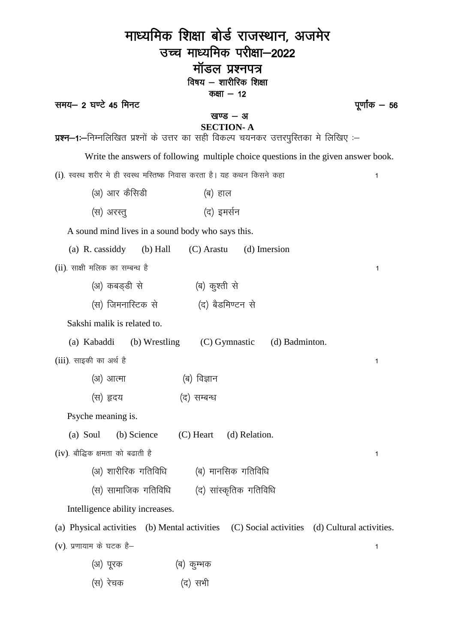| माध्यमिक शिक्षा बोर्ड राजस्थान, अजमेर                                                           |  |
|-------------------------------------------------------------------------------------------------|--|
| उच्च माध्यमिक परीक्षा—2022                                                                      |  |
| मॉडल प्रश्नपत्र                                                                                 |  |
| विषय – शारीरिक शिक्षा<br>कक्षा $-12$                                                            |  |
| समय- 2 घण्टे 45 मिनट<br>पूर्णांक <b>—</b> 56<br>खण्ड – अ                                        |  |
| <b>SECTION-A</b>                                                                                |  |
| प्रश्न—1:—निम्नलिखित प्रश्नों के उत्तर का सही विकल्प चयनकर उत्तरपुरितका मे लिखिए :—             |  |
| Write the answers of following multiple choice questions in the given answer book.              |  |
| (i). स्वस्थ शरीर मे ही स्वस्थ मस्तिष्क निवास करता है। यह कथन किसने कहा<br>1                     |  |
| (अ) आर कैसिडी<br>(ब) हाल                                                                        |  |
| (द) इमर्सन<br>(स) अरस्तु                                                                        |  |
| A sound mind lives in a sound body who says this.                                               |  |
| (b) Hall<br>$(C)$ Arastu $(d)$ Imersion<br>(a) R. cassiddy                                      |  |
| (ii). साक्षी मलिक का सम्बन्ध है<br>1                                                            |  |
| (अ) कबड़डी से<br>(ब) कुश्ती से                                                                  |  |
| (स) जिमनास्टिक से           (द) बैडमिण्टन से                                                    |  |
| Sakshi malik is related to.                                                                     |  |
| (a) Kabaddi (b) Wrestling (C) Gymnastic<br>(d) Badminton.                                       |  |
| (iii). साइकी का अर्थ है<br>1                                                                    |  |
| (ब) विज्ञान<br>(अ) आत्मा                                                                        |  |
| (स) हृदय<br>(द) सम्बन्ध                                                                         |  |
| Psyche meaning is.                                                                              |  |
| $(C)$ Heart<br>(a) Soul<br>(b) Science<br>(d) Relation.                                         |  |
| $(iv)$ . बौद्धिक क्षमता को बढाती है<br>1                                                        |  |
| (अ) शारीरिक गतिविधि<br>(ब) मानसिक गतिविधि                                                       |  |
| (स) सामाजिक गतिविधि<br>(द) सांस्कृतिक गतिविधि                                                   |  |
| Intelligence ability increases.                                                                 |  |
| (a) Physical activities<br>(b) Mental activities (C) Social activities (d) Cultural activities. |  |
| (v). प्रणायाम के घटक है–<br>1                                                                   |  |
| (अ) पूरक<br>(ब) कूम्भक                                                                          |  |
| (स) रेचक<br>(द) सभी                                                                             |  |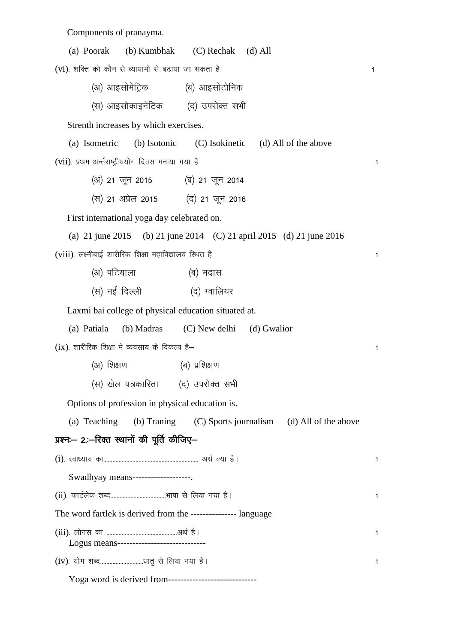Components of pranayma.

| (C) Rechak<br>(a) Poorak<br>(b) Kumbhak | $(d)$ All |  |
|-----------------------------------------|-----------|--|
|-----------------------------------------|-----------|--|

 $(vi)$ . शक्ति को कौन से व्यायामो से बढाया जा सकता है  $v$ 

| (अ) आइसोमेट्रिक | (ब) आइसोटोनिक |
|-----------------|---------------|
|                 |               |

(स) आइसोकाइनेटिक (द) उपरोक्त सभी

Strenth increases by which exercises.

```
(a) Isometric (b) Isotonic (C) Isokinetic (d) All of the above
(vii). प्रथम अर्न्तराष्ट्रीययोग दिवस मनाया गया है बाल कर कार्यालय कर बाल कर बाल कर बाल कर बाल कर बाल कर बाल कर
```
- $(3)$  21 जून 2015  $(4)$  21 जून 2014
- (स) 21 अप्रेल 2015 (द) 21 जून 2016

First international yoga day celebrated on.

| (a) 21 june 2015 (b) 21 june 2014 (C) 21 april 2015 (d) 21 june 2016 |  |  |
|----------------------------------------------------------------------|--|--|
| (viii). लक्ष्मीबाई शारीरिक शिक्षा महाविद्यालय स्थित है               |  |  |

- (अ) पटियाला (ब) मद्रास
- (स) नई दिल्ली (द) ग्वालियर

Laxmi bai college of physical education situated at.

| (a) Patiala | (b) Madras | (C) New delhi | (d) Gwalior |
|-------------|------------|---------------|-------------|
|-------------|------------|---------------|-------------|

 $(ix)$ . शारीरिक शिक्षा मे व्यवसाय के विकल्प है–

- (अ) शिक्षण (ब) प्रशिक्षण
- (स) खेल पत्रकारिता (द) उपरोक्त सभी

Options of profession in physical education is.

(a) Teaching (b) Traning (C) Sports journalism (d) All of the above

## प्रश्नः- 2.:--रिक्त स्थानों की पूर्ति कीजिए-

| Swadhyay means--------------------                              |   |
|-----------------------------------------------------------------|---|
|                                                                 | 1 |
| The word fartlek is derived from the ----------------- language |   |
| Logus means------------------------------                       | 1 |
|                                                                 | 1 |
|                                                                 |   |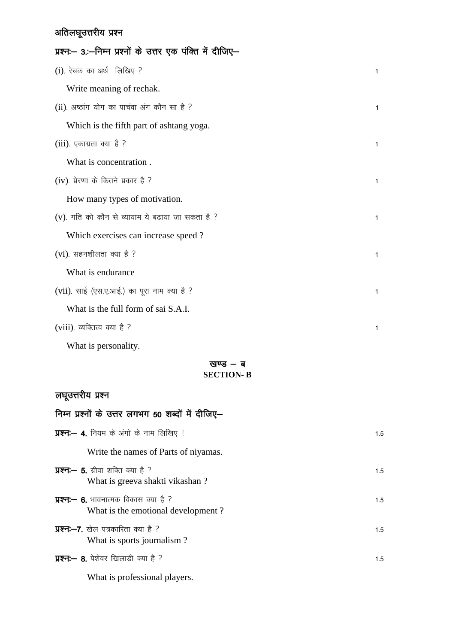## अतिलघूउत्तरीय प्रश्न

| प्रश्नः— 3.:—निम्न प्रश्नों के उत्तर एक पंक्ति में दीजिए— |              |
|-----------------------------------------------------------|--------------|
| (i) रेचक का अर्थ लिखिए ?                                  | $\mathbf{1}$ |
| Write meaning of rechak.                                  |              |
| (ii) अष्ठांग योग का पाचवा अंग कौन सा है ?                 | $\mathbf{1}$ |
| Which is the fifth part of ashtang yoga.                  |              |
| $(iii)$ . एकाग्रता क्या है ?                              | $\mathbf{1}$ |
| What is concentration.                                    |              |
| (iv). प्रेरणा के कितने प्रकार है ?                        | $\mathbf{1}$ |
| How many types of motivation.                             |              |
| (v). गति को कौन से व्यायाम ये बढाया जा सकता है ?          | $\mathbf{1}$ |
| Which exercises can increase speed?                       |              |
| (vi). सहनशीलता क्या है ?                                  | $\mathbf{1}$ |
| What is endurance                                         |              |
| (vii). साई (एस.ए.आई.) का पूरा नाम क्या है ?               | $\mathbf{1}$ |
| What is the full form of sai S.A.I.                       |              |
| (viii). व्यक्तित्व क्या है ?                              | $\mathbf{1}$ |
| What is personality.                                      |              |

#### खण्ड $-$  ब **SECTION- B**

## लघूउत्तरीय प्रश्न

| निम्न प्रश्नों के उत्तर लगभग 50 शब्दों में दीजिए-                                  |     |
|------------------------------------------------------------------------------------|-----|
| <b>प्रश्न:— 4.</b> नियम के अंगो के नाम लिखिए !                                     | 1.5 |
| Write the names of Parts of niyamas.                                               |     |
| <b>प्रश्न:— 5.</b> ग्रीवा शक्ति क्या है ?<br>What is greeva shakti vikashan?       | 1.5 |
| <b>प्रश्नः— 6.</b> भावनात्मक विकास क्या है ?<br>What is the emotional development? | 1.5 |
| <b>प्रश्नः-7.</b> खेल पत्रकारिता क्या है ?<br>What is sports journalism?           | 15  |
| <b>प्रश्नः- 8</b> . पेशेवर खिलाडी क्या है ?                                        | 1.5 |

What is professional players.